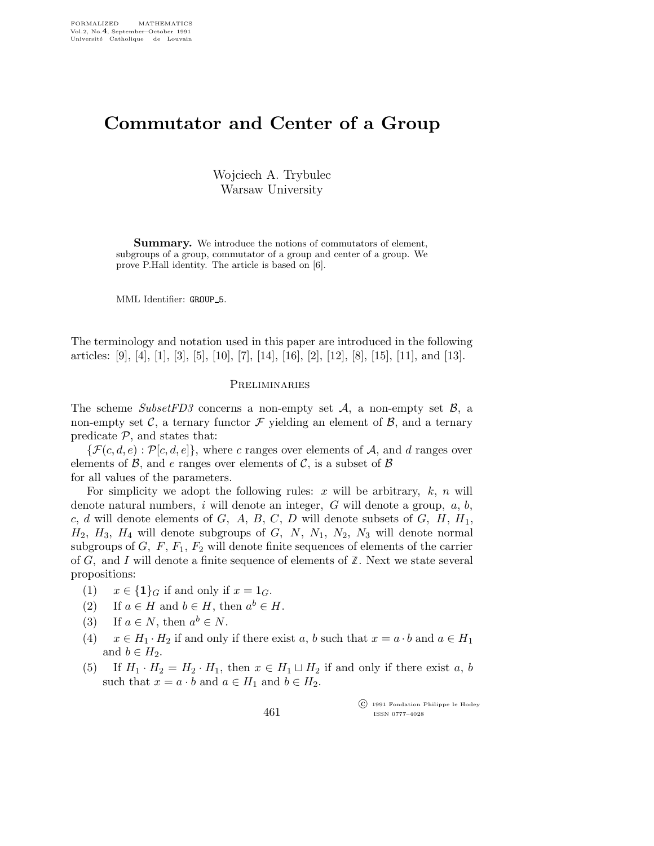# Commutator and Center of a Group

Wojciech A. Trybulec Warsaw University

**Summary.** We introduce the notions of commutators of element, subgroups of a group, commutator of a group and center of a group. We prove P.Hall identity. The article is based on [6].

MML Identifier: GROUP\_5.

The terminology and notation used in this paper are introduced in the following articles: [9], [4], [1], [3], [5], [10], [7], [14], [16], [2], [12], [8], [15], [11], and [13].

### **PRELIMINARIES**

The scheme Subset FD3 concerns a non-empty set  $A$ , a non-empty set  $B$ , a non-empty set  $\mathcal{C}$ , a ternary functor  $\mathcal F$  yielding an element of  $\mathcal{B}$ , and a ternary predicate  $P$ , and states that:

 $\{\mathcal{F}(c,d,e): \mathcal{P}[c,d,e]\}\$ , where c ranges over elements of A, and d ranges over elements of  $\beta$ , and e ranges over elements of  $\beta$ , is a subset of  $\beta$ for all values of the parameters.

For simplicity we adopt the following rules: x will be arbitrary,  $k$ , n will denote natural numbers, i will denote an integer,  $G$  will denote a group,  $a, b$ , c, d will denote elements of  $G$ ,  $A$ ,  $B$ ,  $C$ ,  $D$  will denote subsets of  $G$ ,  $H$ ,  $H_1$ ,  $H_2$ ,  $H_3$ ,  $H_4$  will denote subgroups of  $G$ ,  $N$ ,  $N_1$ ,  $N_2$ ,  $N_3$  will denote normal subgroups of  $G, F, F_1, F_2$  will denote finite sequences of elements of the carrier of G, and I will denote a finite sequence of elements of  $\mathbb Z$ . Next we state several propositions:

- (1)  $x \in \{1\}$  if and only if  $x = 1$ <sub>G</sub>.
- (2) If  $a \in H$  and  $b \in H$ , then  $a^b \in H$ .
- (3) If  $a \in N$ , then  $a^b \in N$ .
- (4)  $x \in H_1 \cdot H_2$  if and only if there exist a, b such that  $x = a \cdot b$  and  $a \in H_1$ and  $b \in H_2$ .
- (5) If  $H_1 \cdot H_2 = H_2 \cdot H_1$ , then  $x \in H_1 \sqcup H_2$  if and only if there exist a, b such that  $x = a \cdot b$  and  $a \in H_1$  and  $b \in H_2$ .

461

 c 1991 Fondation Philippe le Hodey ISSN 0777–4028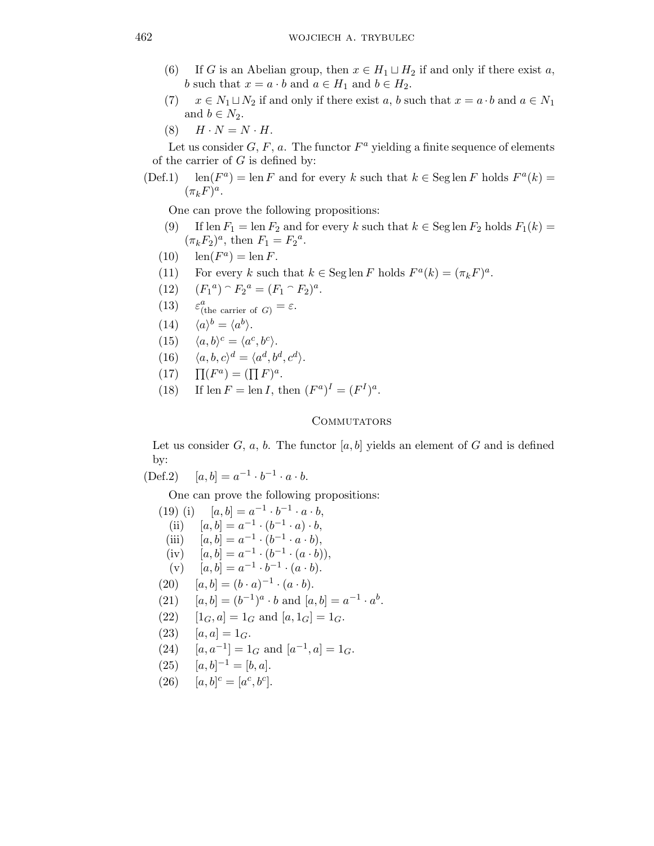- (6) If G is an Abelian group, then  $x \in H_1 \sqcup H_2$  if and only if there exist a, b such that  $x = a \cdot b$  and  $a \in H_1$  and  $b \in H_2$ .
- (7)  $x \in N_1 \sqcup N_2$  if and only if there exist a, b such that  $x = a \cdot b$  and  $a \in N_1$ and  $b \in N_2$ .
- (8)  $H \cdot N = N \cdot H$ .

Let us consider  $G, F, a$ . The functor  $F^a$  yielding a finite sequence of elements of the carrier of  $G$  is defined by:

 $(Def.1)$ <sup>a</sup>) = len F and for every k such that  $k \in \text{Seg} \operatorname{len} F$  holds  $F^a(k)$  =  $(\pi_k F)^a$ .

One can prove the following propositions:

- (9) If len  $F_1 = \text{len } F_2$  and for every k such that  $k \in \text{Seg} \operatorname{len } F_2$  holds  $F_1(k) =$  $(\pi_k F_2)^a$ , then  $F_1 = F_2^a$ .
- (10)  $\operatorname{len}(F^a) = \operatorname{len} F$ .
- (11) For every k such that  $k \in \text{Seg} \operatorname{len} F$  holds  $F^a(k) = (\pi_k F)^a$ .
- $(12)$ <sup>a</sup>)  $\cap F_2^a = (F_1 \cap F_2)^a$ .
- $(13)$  $a$ <sub>(the carrier of G)</sub> =  $\varepsilon$ .
- $(14)$  $b = \langle a^b \rangle.$
- (15)  $\langle a, b \rangle^c = \langle a^c, b^c \rangle.$
- (16)  $\langle a, b, c \rangle^d = \langle a^d, b^d, c^d \rangle.$
- $(17)$  $(F^a) = (\prod F)^a.$
- (18) If len  $F = \text{len } I$ , then  $(F^a)^I = (F^I)^a$ .

## COMMUTATORS

Let us consider  $G, a, b$ . The functor  $[a, b]$  yields an element of G and is defined by:

$$
(\text{Def.2}) \quad \ [a,b]=a^{-1}\cdot b^{-1}\cdot a\cdot b.
$$

One can prove the following propositions:

(19) (i)  $[a, b] = a^{-1} \cdot b^{-1} \cdot a \cdot b$ , (ii)  $[a, b] = a^{-1} \cdot (b^{-1} \cdot a) \cdot b,$ (iii)  $[a, b] = a^{-1} \cdot (b^{-1} \cdot a \cdot b),$ (iv)  $[a, b] = a^{-1} \cdot (b^{-1} \cdot (a \cdot b)),$  $(v)$   $[a, b] = a^{-1} \cdot b^{-1} \cdot (a \cdot b).$ (20)  $[a, b] = (b \cdot a)^{-1} \cdot (a \cdot b).$ (21)  $[a, b] = (b^{-1})^a \cdot b$  and  $[a, b] = a^{-1} \cdot a^b$ . (22)  $[1_G, a] = 1_G$  and  $[a, 1_G] = 1_G$ . (23)  $[a, a] = 1_G.$ (24)  $[a, a^{-1}] = 1_G$  and  $[a^{-1}, a] = 1_G$ . (25)  $[a, b]^{-1} = [b, a].$ (26)  $[a, b]^c = [a^c, b^c].$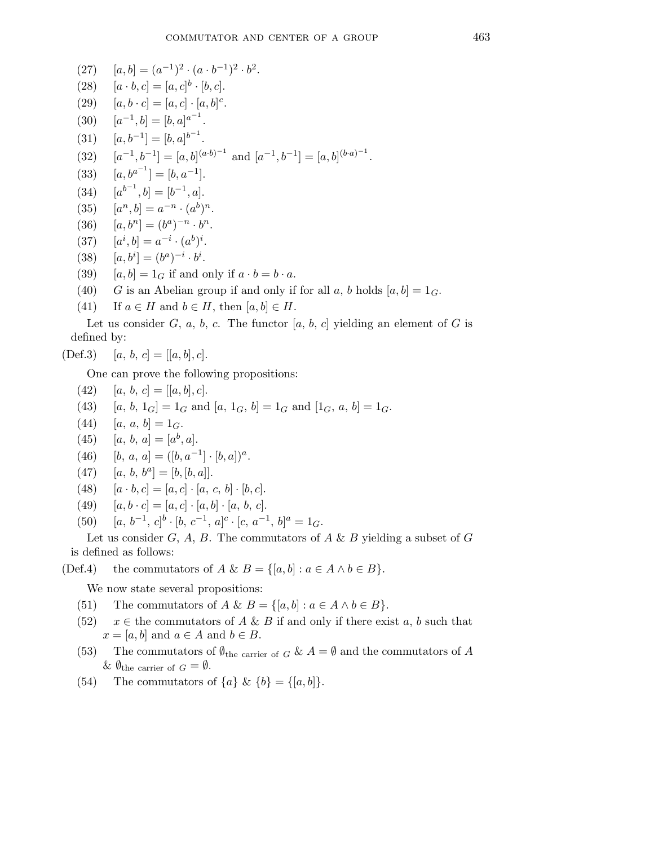- (27)  $[a, b] = (a^{-1})^2 \cdot (a \cdot b^{-1})^2 \cdot b^2.$
- (28)  $[a \cdot b, c] = [a, c]^b \cdot [b, c].$
- (29)  $[a, b \cdot c] = [a, c] \cdot [a, b]^{c}$ .
- (30)  $[a^{-1}, b] = [b, a]^{a^{-1}}$ .
- (31)  $[a, b^{-1}] = [b, a]^{b^{-1}}$ .
- $(32)$  $[-1, b^{-1}] = [a, b]^{(a \cdot b)^{-1}}$  and  $[a^{-1}, b^{-1}] = [a, b]^{(b \cdot a)^{-1}}$ .
- $(33)$  $^{-1}$ ] = [b,  $a^{-1}$ ].
- (34)  $[a^{b^{-1}}, b] = [b^{-1}, a].$
- $(35)$  $[n, b] = a^{-n} \cdot (a^b)^n$ .
- (36)  $[a, b^n] = (b^a)^{-n} \cdot b^n.$
- $(37)$  $[i, b] = a^{-i} \cdot (a^b)^i.$
- (38)  $[a, b^i] = (b^a)^{-i} \cdot b^i$ .
- (39)  $[a, b] = 1_G$  if and only if  $a \cdot b = b \cdot a$ .
- (40) G is an Abelian group if and only if for all a, b holds  $[a, b] = 1_G$ .
- (41) If  $a \in H$  and  $b \in H$ , then  $[a, b] \in H$ .

Let us consider G, a, b, c. The functor [a, b, c] yielding an element of G is defined by:

$$
(Def.3) \t [a, b, c] = [[a, b], c].
$$

One can prove the following propositions:

- (42)  $[a, b, c] = [[a, b], c]$ .
- (43)  $[a, b, 1_G] = 1_G$  and  $[a, 1_G, b] = 1_G$  and  $[1_G, a, b] = 1_G$ .
- (44)  $[a, a, b] = 1_G.$
- (45) [a, b, a] = [a<sup>b</sup>, a].
- (46)  $[b, a, a] = ([b, a^{-1}] \cdot [b, a])^a$ .
- (47)  $[a, b, b^a] = [b, [b, a]].$
- (48)  $[a \cdot b, c] = [a, c] \cdot [a, c, b] \cdot [b, c].$
- (49)  $[a, b \cdot c] = [a, c] \cdot [a, b] \cdot [a, b, c].$
- (50)  $[a, b^{-1}, c]^b \cdot [b, c^{-1}, a]^c \cdot [c, a^{-1}, b]^a = 1_G.$

Let us consider G, A, B. The commutators of  $A \& B$  yielding a subset of G is defined as follows:

(Def.4) the commutators of A & B = {[a, b] :  $a \in A \land b \in B$  }.

We now state several propositions:

- (51) The commutators of  $A \& B = \{ [a, b] : a \in A \land b \in B \}.$
- (52)  $x \in$  the commutators of A & B if and only if there exist a, b such that  $x = [a, b]$  and  $a \in A$  and  $b \in B$ .
- (53) The commutators of  $\emptyset_{\text{the carrier of } G} \& A = \emptyset$  and the commutators of A &  $\emptyset$ <sub>the carrier of  $G = \emptyset$ .</sub>
- (54) The commutators of  $\{a\} \& \{b\} = \{[a, b]\}.$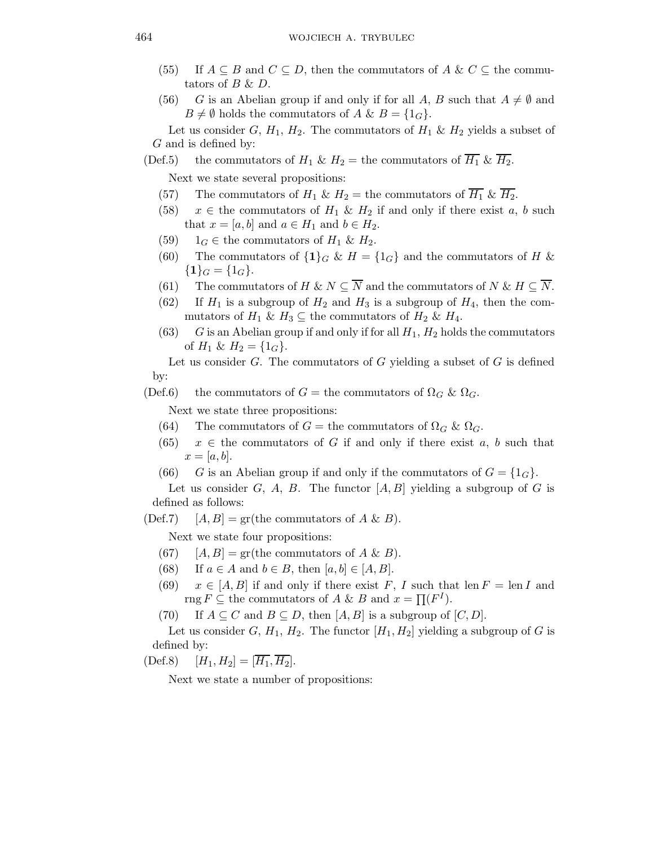- (55) If  $A \subseteq B$  and  $C \subseteq D$ , then the commutators of  $A \& C \subseteq$  the commutators of  $B \& D$ .
- (56) G is an Abelian group if and only if for all A, B such that  $A \neq \emptyset$  and  $B \neq \emptyset$  holds the commutators of  $A \& B = \{1_G\}.$

Let us consider G,  $H_1$ ,  $H_2$ . The commutators of  $H_1 \& H_2$  yields a subset of G and is defined by:

- (Def.5) the commutators of  $H_1 \& H_2$  = the commutators of  $\overline{H_1} \& \overline{H_2}$ . Next we state several propositions:
	- (57) The commutators of  $H_1 \& H_2$  = the commutators of  $\overline{H_1} \& \overline{H_2}$ .
	- (58)  $x \in$  the commutators of  $H_1 \& H_2$  if and only if there exist a, b such that  $x = [a, b]$  and  $a \in H_1$  and  $b \in H_2$ .
	- (59)  $1_G \in$  the commutators of  $H_1 \& H_2$ .
	- (60) The commutators of  $\{1\}_G$  &  $H = \{1_G\}$  and the commutators of H &  ${1}_G = {1}_G.$
	- (61) The commutators of H & N  $\subseteq \overline{N}$  and the commutators of N & H  $\subseteq \overline{N}$ .
	- (62) If  $H_1$  is a subgroup of  $H_2$  and  $H_3$  is a subgroup of  $H_4$ , then the commutators of  $H_1 \& H_3 \subseteq$  the commutators of  $H_2 \& H_4$ .
	- (63) G is an Abelian group if and only if for all  $H_1$ ,  $H_2$  holds the commutators of  $H_1 \& H_2 = \{1_G\}.$

Let us consider  $G$ . The commutators of  $G$  yielding a subset of  $G$  is defined by:

(Def.6) the commutators of  $G =$  the commutators of  $\Omega_G$  &  $\Omega_G$ .

Next we state three propositions:

- (64) The commutators of  $G =$  the commutators of  $\Omega_G$  &  $\Omega_G$ .
- (65)  $x \in$  the commutators of G if and only if there exist a, b such that  $x=[a, b].$
- (66) G is an Abelian group if and only if the commutators of  $G = \{1_G\}.$

Let us consider G, A, B. The functor  $[A, B]$  yielding a subgroup of G is defined as follows:

 $(Def.7)$  [A, B] = gr(the commutators of A & B).

Next we state four propositions:

- (67)  $[A, B] = \text{gr}(\text{the commutators of } A \& B).$
- (68) If  $a \in A$  and  $b \in B$ , then  $[a, b] \in [A, B]$ .
- (69)  $x \in [A, B]$  if and only if there exist F, I such that len  $F = \text{len } I$  and rng  $F \subseteq$  the commutators of A & B and  $x = \prod (F^I)$ .
- (70) If  $A \subseteq C$  and  $B \subseteq D$ , then  $[A, B]$  is a subgroup of  $[C, D]$ .

Let us consider  $G, H_1, H_2$ . The functor  $[H_1, H_2]$  yielding a subgroup of G is defined by:

(Def.8)  $[H_1, H_2] = [\overline{H_1}, \overline{H_2}].$ 

Next we state a number of propositions: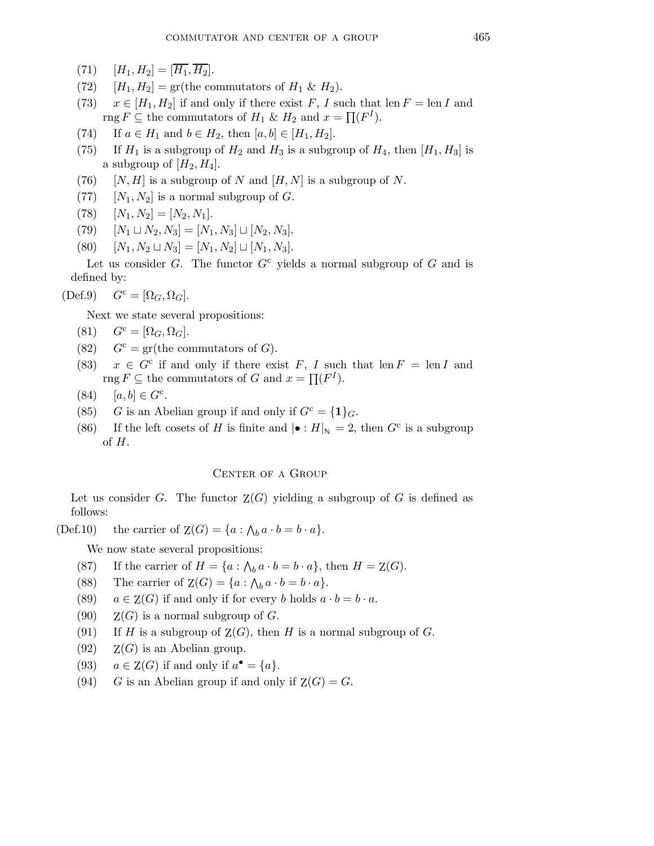- (71)  $[H_1, H_2] = [\overline{H_1}, \overline{H_2}].$
- (72)  $[H_1, H_2] = \text{gr}(\text{the commutators of } H_1 \& H_2).$
- (73)  $x \in [H_1, H_2]$  if and only if there exist F, I such that len  $F = \text{len } I$  and rng  $F \subseteq$  the commutators of  $H_1 \& H_2$  and  $x = \prod (F^I)$ .
- (74) If  $a \in H_1$  and  $b \in H_2$ , then  $[a, b] \in [H_1, H_2]$ .
- (75) If  $H_1$  is a subgroup of  $H_2$  and  $H_3$  is a subgroup of  $H_4$ , then  $[H_1, H_3]$  is a subgroup of  $[H_2, H_4]$ .
- (76)  $[N, H]$  is a subgroup of N and  $[H, N]$  is a subgroup of N.
- (77)  $[N_1, N_2]$  is a normal subgroup of G.
- (78)  $[N_1, N_2] = [N_2, N_1].$
- (79)  $[N_1 \sqcup N_2, N_3] = [N_1, N_3] \sqcup [N_2, N_3].$
- (80)  $[N_1, N_2 \sqcup N_3] = [N_1, N_2] \sqcup [N_1, N_3].$

Let us consider G. The functor  $G<sup>c</sup>$  yields a normal subgroup of G and is defined by:

 $(\text{Def.9})$   $G^c = [\Omega_G, \Omega_G].$ 

Next we state several propositions:

- $(S1)$   $G^c = [\Omega_G, \Omega_G].$
- (82)  $G^c = \text{gr}(\text{the commutators of } G).$
- (83)  $x \in G^c$  if and only if there exist F, I such that len  $F = \text{len } I$  and rng  $F \subseteq$  the commutators of G and  $x = \prod (F^I)$ .
- (84)  $[a, b] \in G^c$ .
- (85) G is an Abelian group if and only if  $G^c = \{1\}_G$ .
- (86) If the left cosets of H is finite and  $|\bullet : H|_{\mathbb{N}} = 2$ , then  $G^c$  is a subgroup of  $H$ .

## CENTER OF A GROUP

Let us consider G. The functor  $Z(G)$  yielding a subgroup of G is defined as follows:

(Def.10) the carrier of  $Z(G) = \{a : \bigwedge_b a \cdot b = b \cdot a\}.$ 

We now state several propositions:

- (87) If the carrier of  $H = \{a : \bigwedge_b a \cdot b = b \cdot a\}$ , then  $H = Z(G)$ .
- (88) The carrier of  $Z(G) = \{a : \bigwedge_b a \cdot b = b \cdot a\}.$
- (89)  $a \in Z(G)$  if and only if for every b holds  $a \cdot b = b \cdot a$ .
- (90)  $Z(G)$  is a normal subgroup of G.
- (91) If H is a subgroup of  $Z(G)$ , then H is a normal subgroup of G.
- (92)  $Z(G)$  is an Abelian group.
- (93)  $a \in Z(G)$  if and only if  $a^{\bullet} = \{a\}.$
- (94) G is an Abelian group if and only if  $Z(G) = G$ .